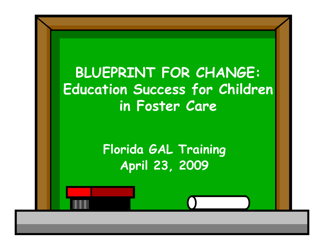### **BLUEPRINT FOR CHANGE: Education Success for Children in Foster Care**

**Florida GAL Training April 23, 2009**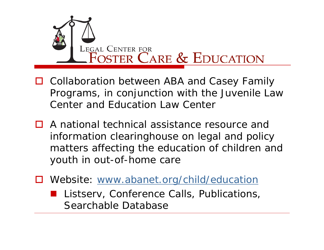

- □ Collaboration between ABA and Casey Family Programs, in conjunction with the Juvenile Law Center and Education Law Center
- **□** A national technical assistance resource and information clearinghouse on legal and policy matters affecting the education of children and youth in out-of-home care
- $\Box$ Website: www.abanet.org/child/education
	- **Listserv, Conference Calls, Publications,** Searchable Database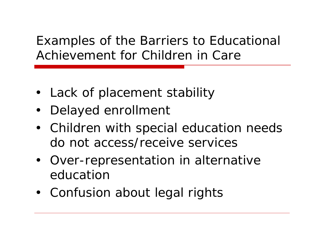#### Examples of the Barriers to Educational Achievement for Children in Care

- Lack of placement stability
- Delayed enrollment
- Children with special education needs do not access/receive services
- Over-representation in alternative education
- Confusion about legal rights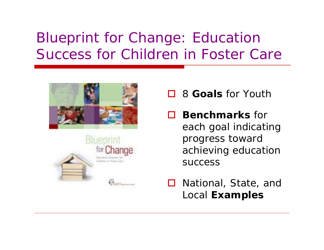### Blueprint for Change: Education Success for Children in Foster Care





- H. 8 **Goals** for Youth
- $\Box$  **Benchmarks** for each goal indicating progress toward achieving education success
- $\Box$  National, State, and Local **Examples**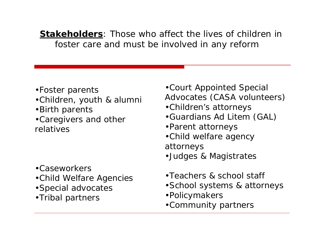**Stakeholders**: Those who affect the lives of children in foster care and must be involved in any reform

- •Foster parents
- •Children, youth & alumni
- •Birth parents
- •Caregivers and other relatives

- •Caseworkers
- •Child Welfare Agencies
- •Special advocates
- •Tribal partners
- •Court Appointed Special Advocates (CASA volunteers)
- •Children's attorneys
- •Guardians *Ad Litem* (GAL)
- •Parent attorneys
- •Child welfare agency attorneys
- •Judges & Magistrates
- •Teachers & school staff
- •School systems & attorneys
- •Policymakers
- •Community partners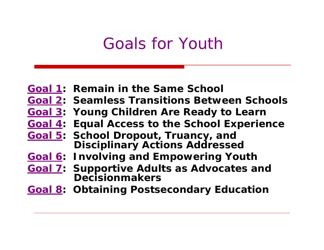### Goals for Youth

- **Goal 1: Remain in the Same School**
- **Goal 2: Seamless Transitions Between Schools**
- **Goal 3: Young Children Are Ready to Learn**
- **Goal 4: Equal Access to the School Experience**
- **Goal 5: School Dropout, Truancy, and Disciplinary Actions Addressed**
- **Goal 6: Involving and Empowering Youth**
- **Goal 7: Supportive Adults as Advocates and Decisionmakers**
- **Goal 8: Obtaining Postsecondary Education**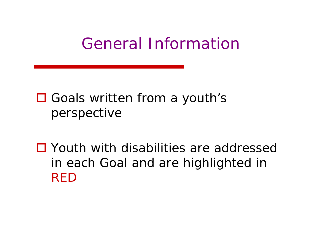### General Information

- □ Goals written from a youth's perspective
- □ Youth with disabilities are addressed in each Goal and are highlighted in RED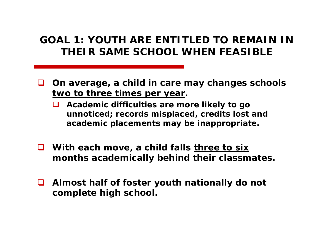#### **GOAL 1: YOUTH ARE ENTITLED TO REMAIN IN THEIR SAME SCHOOL WHEN FEASIBLE**

- **On average, a child in care may changes schools two to three times per year.**
	- **Academic difficulties are more likely to go unnoticed; records misplaced, credits lost and academic placements may be inappropriate.**
- **With each move, a child falls three to six months academically behind their classmates.**
- **Almost half of foster youth nationally do not complete high school.**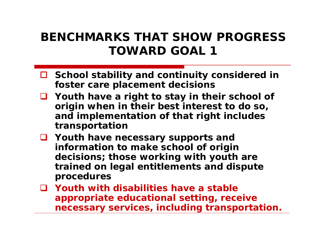#### **BENCHMARKS THAT SHOW PROGRESS TOWARD GOAL 1**

- **School stability and continuity considered in foster care placement decisions**
- **Youth have a right to stay in their school of origin when in their best interest to do so, and implementation of that right includes transportation**
- **Youth have necessary supports and information to make school of origin decisions; those working with youth are trained on legal entitlements and dispute procedures**
- **Youth with disabilities have a stable appropriate educational setting, receive necessary services, including transportation.**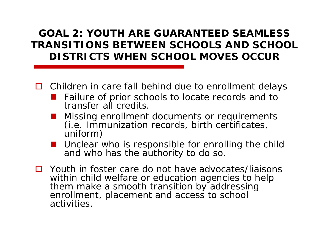#### **GOAL 2: YOUTH ARE GUARANTEED SEAMLESS TRANSITIONS BETWEEN SCHOOLS AND SCHOOL DISTRICTS WHEN SCHOOL MOVES OCCUR**

- □ Children in care fall behind due to enrollment delays
	- Failure of prior schools to locate records and to transfer all credits.
	- Missing enrollment documents or requirements (i.e. Immunization records, birth certificates, uniform)
	- **Unclear who is responsible for enrolling the child** and who has the authority to do so.
- $\Box$  Youth in foster care do not have advocates/liaisons within child welfare or education agencies to help them make a smooth transition by addressing enrollment, placement and access to school activities.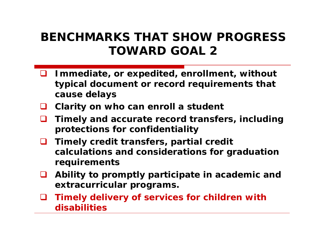#### **BENCHMARKS THAT SHOW PROGRESS TOWARD GOAL 2**

- $\Box$  **Immediate, or expedited, enrollment, without typical document or record requirements that cause delays**
- **Clarity on who can enroll a student**
- $\Box$  **Timely and accurate record transfers, including protections for confidentiality**
- $\Box$  **Timely credit transfers, partial credit calculations and considerations for graduation requirements**
- ப **Ability to promptly participate in academic and extracurricular programs.**
- ப **Timely delivery of services for children with disabilities**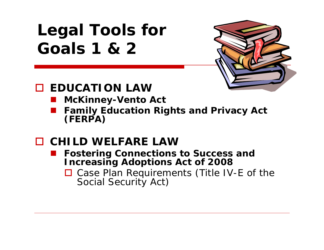## **Legal Tools for Goals 1 & 2**



#### **EDUCATION LAW**

- **McKinney-Vento Act**
- **Family Education Rights and Privacy Act (FERPA)**
- **CHILD WELFARE LAW**
	- **Fostering Connections to Success and Increasing Adoptions Act of 2008**
		- □ Case Plan Requirements (Title IV-E of the Social Security Act)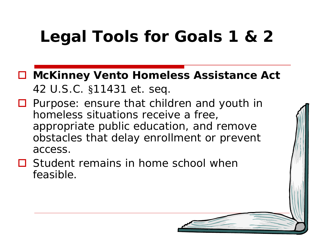## **Legal Tools for Goals 1 & 2**

- **McKinney Vento Homeless Assistance Act** 42 U.S.C. §11431 et. seq.
- Purpose: ensure that children and youth in homeless situations receive a free, appropriate public education, and remove obstacles that delay enrollment or prevent access.
- $\Box$  Student remains in home school when feasible.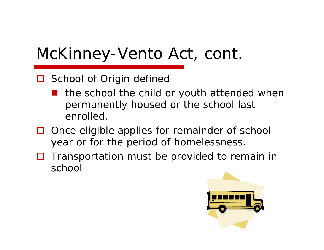## McKinney-Vento Act, cont.

#### □ School of Origin defined

- an<br>Ma the school the child or youth attended when permanently housed or the school last enrolled.
- $\Box$  Once eligible applies for remainder of school year or for the period of homelessness.
- Ш Transportation must be provided to remain in school

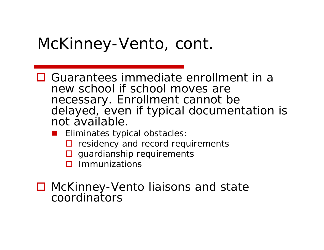### McKinney-Vento, cont.

- **□** Guarantees immediate enrollment in a new school if school moves are necessary. Enrollment cannot be delayed, even if typical documentation is not available.
	- Eliminates typical obstacles:
		- $\Box$  residency and record requirements
		- $\square$  guardianship requirements
		- $\square$  Immunizations
- McKinney-Vento liaisons and state coordinators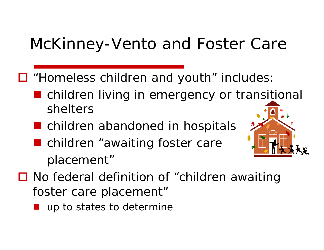## McKinney-Vento and Foster Care

- "Homeless children and youth" includes:
	- children living in emergency or transitional shelters
	- **n** children abandoned in hospitals
	- children "awaiting foster care placement"



- No federal definition of "children awaiting foster care placement"
	- up to states to determine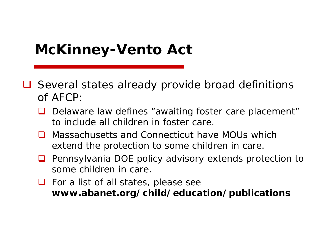### **McKinney-Vento Act**

- Several states already provide broad definitions of AFCP:
	- $\Box$  Delaware law defines "awaiting foster care placement" to include all children in foster care.
	- Massachusetts and Connecticut have MOUs which extend the protection to some children in care.
	- $\Box$  Pennsylvania DOE policy advisory extends protection to some children in care.
	- **O** For a list of all states, please see **www.abanet.org/child/education/publications**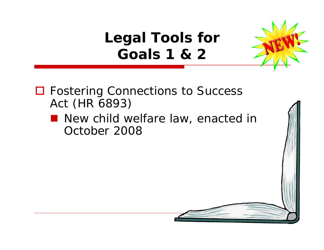**Legal Tools for Goals 1 & 2**



□ Fostering Connections to Success Act (HR 6893)

**New child welfare law, enacted in** October 2008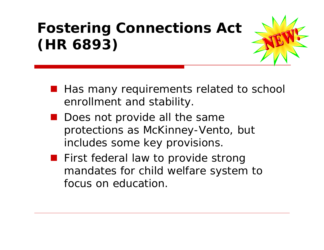## **Fostering Connections Act (HR 6893)**



- Has many requirements related to school enrollment and stability.
- Does not provide all the same protections as McKinney-Vento, but includes some key provisions.
- **First federal law to provide strong** mandates for child welfare system to focus on education.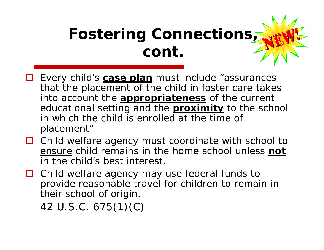## **Fostering Connections, cont.**

- $\Box$  Every child's **case plan** must include "assurances that the placement of the child in foster care takes into account the **appropriateness** of the current educational setting and the **proximity** to the school in which the child is enrolled at the time of placement"
- Ш Child welfare agency must coordinate with school to ensure child remains in the home school unless **not**  in the child's best interest.
- Ш Child welfare agency may use federal funds to provide reasonable travel for children to remain in their school of origin.

42 U.S.C. 675(1)(C)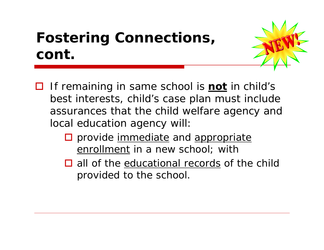### **Fostering Connections, cont.**



- If remaining in same school is **not** in child's best interests, child's case plan must include assurances that the child welfare agency and local education agency will:
	- $\square$  provide immediate and appropriate enrollment in a new school; with
	- $\Box$  all of the educational records of the child provided to the school.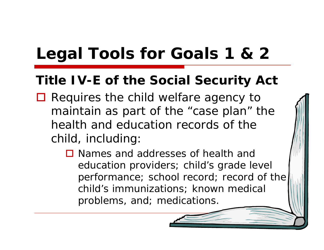## **Legal Tools for Goals 1 & 2**

#### **Title IV-E of the Social Security Act**

- Requires the child welfare agency to maintain as part of the "case plan" the health and education records of the child, including:
	- **□** Names and addresses of health and education providers; child's grade level performance; school record; record of the child's immunizations; known medical problems, and; medications.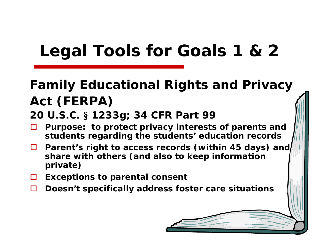## **Legal Tools for Goals 1 & 2**

### **Family Educational Rights and Privacy Act (FERPA)**

#### **20 U.S.C. § 1233g; 34 CFR Part 99**

- $\Box$  **Purpose: to protect privacy interests of parents and students regarding the students' education records**
- **D** Parent's right to access records (within 45 days) and **share with others (and also to keep information private)**
- **Exceptions to parental consent**
- П **Doesn't specifically address foster care situations**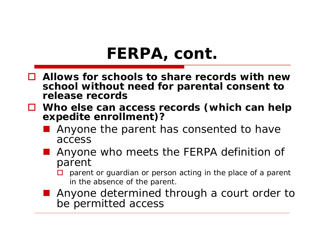## **FERPA, cont.**

- **Allows for schools to share records with new school without need for parental consent to release records**
- **Who else can access records (which can help expedite enrollment)?**
	- Anyone the parent has consented to have access
	- Anyone who meets the FERPA definition of parent
		- $\Box$  parent or guardian or person acting in the place of a parent in the absence of the parent.
	- Anyone determined through a court order to be permitted access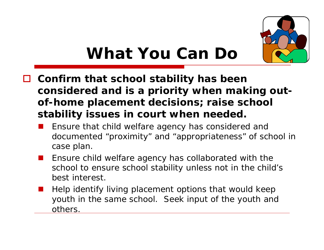

- **Confirm that school stability has been considered and is a priority when making outof-home placement decisions; raise school stability issues in court when needed.**
	- Ensure that child welfare agency has considered and documented "proximity" and "appropriateness" of school in case plan.
	- $\mathbb{R}^3$  Ensure child welfare agency has collaborated with the school to ensure school stability unless not in the child's best interest.
	- $\mathbb{R}^3$  Help identify living placement options that would keep youth in the same school. Seek input of the youth and others.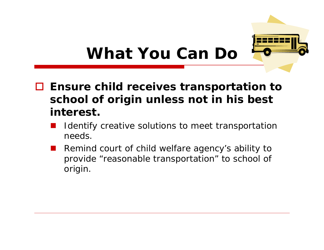

#### **Ensure child receives transportation to school of origin unless not in his best interest.**

- Identify creative solutions to meet transportation needs.
- Remind court of child welfare agency's ability to provide "reasonable transportation" to school of origin.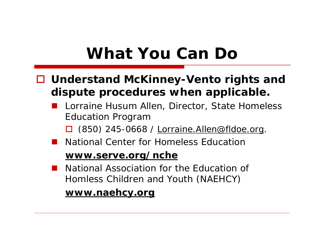- **Understand McKinney-Vento rights and dispute procedures when applicable.**
	- **Land Lorraine Husum Allen, Director, State Homeless** Education Program
		- $\square$  (850) 245-0668 / Lorraine. Allen@fldoe.org.
	- National Center for Homeless Education

#### **www.serve.org/nche**

**Contract**  National Association for the Education of Homless Children and Youth (NAEHCY)

**www.naehcy.org**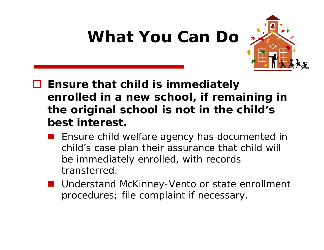

- **Ensure that child is immediately enrolled in a new school, if remaining in the original school is not in the child's best interest.**
	- Ensure child welfare agency has documented in child's case plan their assurance that child will be immediately enrolled, with records transferred.
	- Understand McKinney-Vento or state enrollment procedures; file complaint if necessary.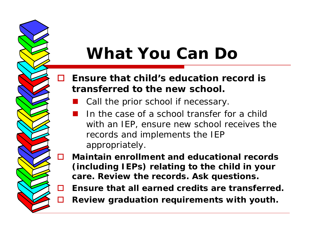#### $\Box$  **Ensure that child's education record is transferred to the new school.**

- Call the prior school if necessary.
- **Service Service**  In the case of a school transfer for a child with an IEP, ensure new school receives the records and implements the IEP appropriately.
- П **Maintain enrollment and educational records (including IEPs) relating to the child in your care. Review the records. Ask questions.**
- П. **Ensure that all earned credits are transferred.**
- П **Review graduation requirements with youth.**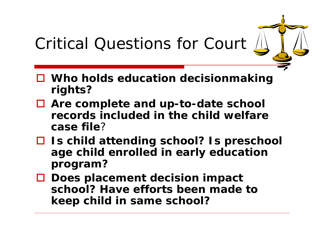## Critical Questions for Court

- **Who holds education decisionmaking rights?**
- **Are complete and up-to-date school records included in the child welfare case file**?
- **Is child attending school? Is preschool age child enrolled in early education program?**
- **Does placement decision impact school? Have efforts been made to keep child in same school?**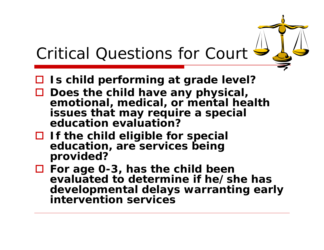## Critical Questions for Court

- **Is child performing at grade level?**
- **Does the child have any physical, emotional, medical, or mental health issues that may require a special education evaluation?**
- **If the child eligible for special education, are services being provided?**
- **For age 0-3, has the child been evaluated to determine if he/she has developmental delays warranting early intervention services**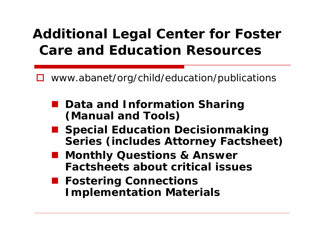### **Additional Legal Center for Foster Care and Education Resources**

 $\Box$ www.abanet/org/child/education/publications

- Data and Information Sharing **(Manual and Tools)**
- Special Education Decisionmaking **Series (includes Attorney Factsheet)**
- **Monthly Questions & Answer Factsheets about critical issues**
- **Fostering Connections Implementation Materials**